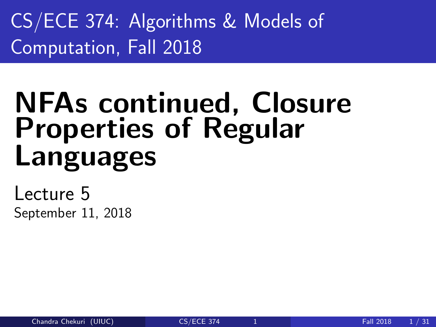<span id="page-0-0"></span>CS/ECE 374: Algorithms & Models of Computation, Fall 2018

# NFAs continued, Closure Properties of Regular Languages

Lecture 5 September 11, 2018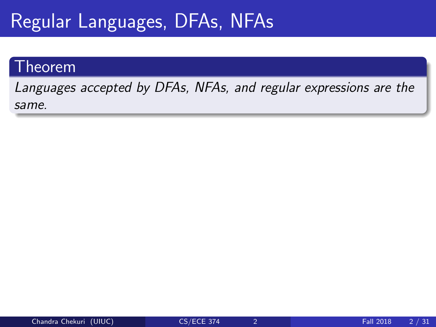# Regular Languages, DFAs, NFAs

### Theorem

Languages accepted by DFAs, NFAs, and regular expressions are the same.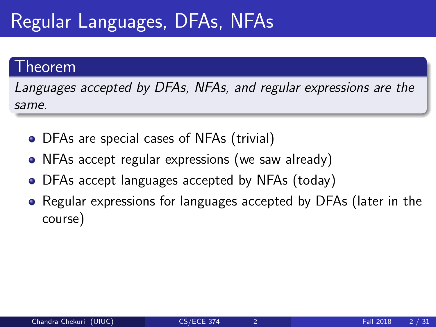# Regular Languages, DFAs, NFAs

### Theorem

Languages accepted by DFAs, NFAs, and regular expressions are the same.

- DFAs are special cases of NFAs (trivial)
- NFAs accept regular expressions (we saw already)
- DFAs accept languages accepted by NFAs (today)
- Regular expressions for languages accepted by DFAs (later in the course)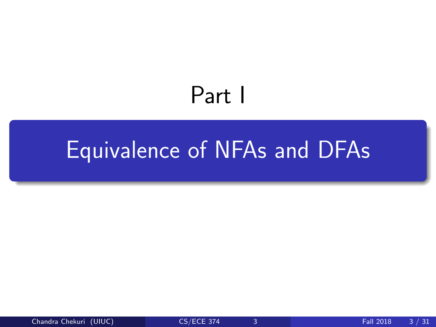# Part I

# <span id="page-3-0"></span>[Equivalence of NFAs and DFAs](#page-3-0)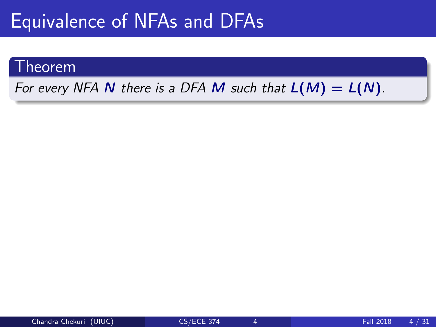# Equivalence of NFAs and DFAs

### Theorem

For every NFA N there is a DFA M such that  $L(M) = L(N)$ .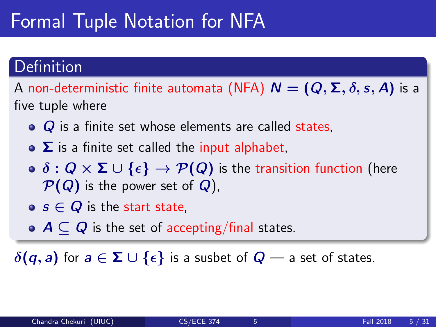# Formal Tuple Notation for NFA

### Definition

A non-deterministic finite automata (NFA)  $N = (Q, \Sigma, \delta, s, A)$  is a five tuple where

- $\bullet$   $\alpha$  is a finite set whose elements are called states,
- $\bullet$   $\Sigma$  is a finite set called the input alphabet,
- $\bullet \ \delta : Q \times \Sigma \cup \{\epsilon\} \rightarrow \mathcal{P}(Q)$  is the transition function (here  $\mathcal{P}(Q)$  is the power set of  $Q$ ),
- $\bullet$  s  $\in$  Q is the start state.
- $\bullet$   $A \subset Q$  is the set of accepting/final states.

 $\delta(q, a)$  for  $a \in \Sigma \cup \{\epsilon\}$  is a susbet of  $Q$  — a set of states.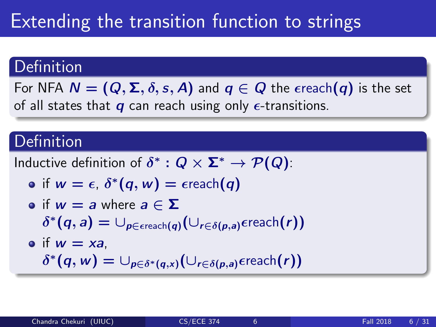# Extending the transition function to strings

### Definition

For NFA  $N = (Q, \Sigma, \delta, s, A)$  and  $q \in Q$  the  $\epsilon$ reach $(q)$  is the set of all states that  $q$  can reach using only  $\epsilon$ -transitions.

### Definition

Inductive definition of  $\delta^*:Q\times \mathbf{\Sigma}^*\to \mathcal{P}(Q)$ :

$$
\bullet \text{ if } w = \epsilon, \, \delta^*(q, w) = \epsilon \text{reach}(q)
$$

\n- of 
$$
w = a
$$
 where  $a \in \Sigma$
\n- $\delta^*(q, a) = \bigcup_{p \in \text{erach}(q)} \bigl(\bigcup_{r \in \delta(p, a)} \text{er each}(r)\bigr)$
\n- of  $w = xa$
\n

 $\delta^*(q, w) = \cup_{p \in \delta^*(q, x)} (\cup_{r \in \delta(p, a)} \epsilon$ reach $(r))$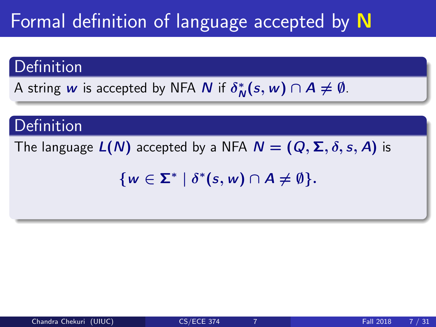# Formal definition of language accepted by N

### Definition

A string  $w$  is accepted by NFA  $N$  if  $\delta^*_{\Lambda}$  $N^*(s, w) \cap A \neq \emptyset$ .

### **Definition**

The language  $L(N)$  accepted by a NFA  $N = (Q, \Sigma, \delta, s, A)$  is

 $\{w \in \Sigma^* \mid \delta^*(s, w) \cap A \neq \emptyset\}.$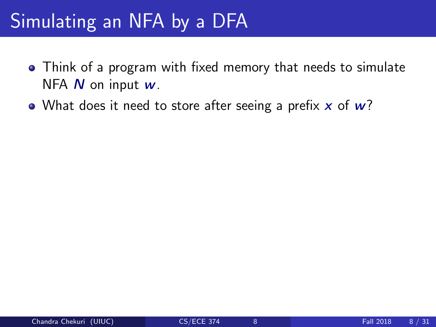- Think of a program with fixed memory that needs to simulate NFA  $N$  on input  $w$ .
- What does it need to store after seeing a prefix  $x$  of  $w$ ?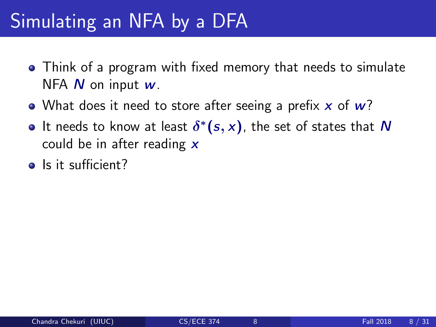- Think of a program with fixed memory that needs to simulate NFA  $N$  on input  $w$ .
- What does it need to store after seeing a prefix  $x$  of  $w$ ?
- It needs to know at least  $\delta^*(s,x)$ , the set of states that  $N$ could be in after reading  $\boldsymbol{x}$
- Is it sufficient?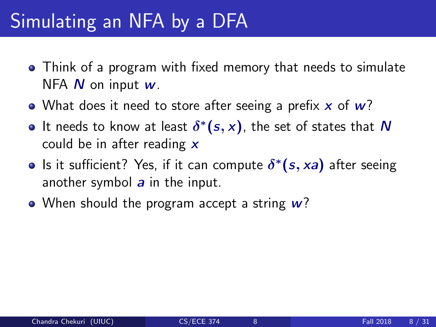- Think of a program with fixed memory that needs to simulate NFA  $N$  on input  $w$ .
- What does it need to store after seeing a prefix  $x$  of  $w$ ?
- It needs to know at least  $\delta^*(s,x)$ , the set of states that  $N$ could be in after reading  $x$
- Is it sufficient? Yes, if it can compute  $\delta^*(s, xa)$  after seeing another symbol  $a$  in the input.
- When should the program accept a string  $w$ ?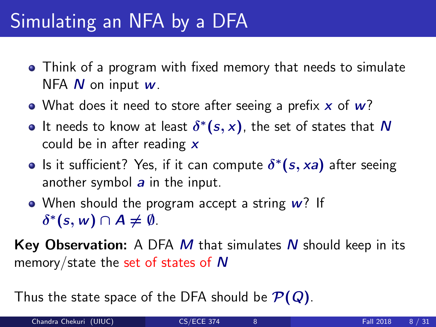- Think of a program with fixed memory that needs to simulate NFA  $N$  on input  $w$ .
- What does it need to store after seeing a prefix  $x$  of  $w$ ?
- It needs to know at least  $\delta^*(s,x)$ , the set of states that  $N$ could be in after reading  $x$
- Is it sufficient? Yes, if it can compute  $\delta^*(s, xa)$  after seeing another symbol  $a$  in the input.
- When should the program accept a string  $w$ ? If  $\delta^*(s, w) \cap A \neq \emptyset$ .

**Key Observation:** A DFA  $M$  that simulates  $N$  should keep in its memory/state the set of states of N

Thus the state space of the DFA should be  $\mathcal{P}(Q)$ .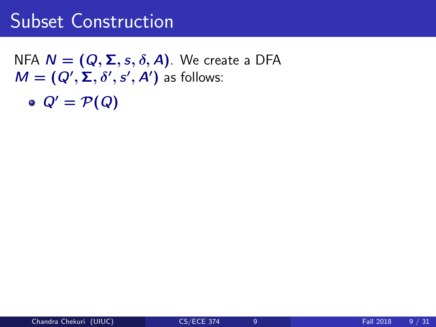NFA  $N = (Q, \Sigma, s, \delta, A)$ . We create a DFA  $M = (Q', \Sigma, \delta', s', A')$  as follows:

 $Q' = \mathcal{P}(Q)$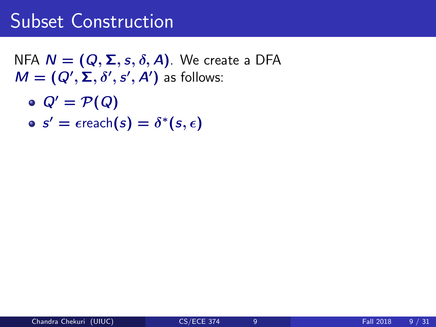NFA  $N = (Q, \Sigma, s, \delta, A)$ . We create a DFA  $M = (Q', \Sigma, \delta', s', A')$  as follows:

- $Q' = \mathcal{P}(Q)$
- $s' = \epsilon$ reach $(s) = \delta^*(s, \epsilon)$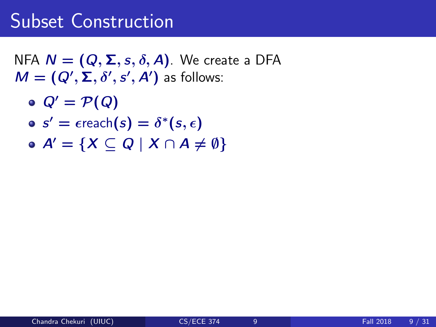NFA  $N = (Q, \Sigma, s, \delta, A)$ . We create a DFA  $M = (Q', \Sigma, \delta', s', A')$  as follows:

- $Q' = \mathcal{P}(Q)$
- $s' = \epsilon$ reach $(s) = \delta^*(s, \epsilon)$
- $\bullet$  A' = {X  $\subset$  Q | X  $\cap$  A  $\neq$  0}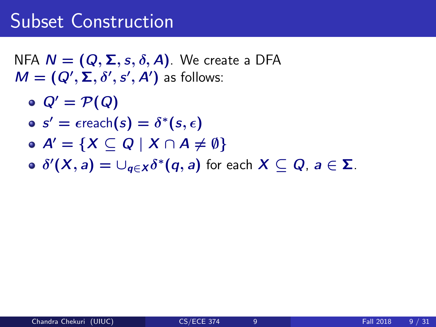NFA  $N = (Q, \Sigma, s, \delta, A)$ . We create a DFA  $M = (Q', \Sigma, \delta', s', A')$  as follows:

- $Q' = \mathcal{P}(Q)$
- $s' = \epsilon$ reach $(s) = \delta^*(s, \epsilon)$
- $\bullet A' = \{X \subseteq Q \mid X \cap A \neq \emptyset\}$
- $\delta^\prime(\overline{X},\overline{a})=\cup_{\overline{q}\in X}\delta^*(\overline{q},\overline{a})$  for each  $X\subseteq Q$ ,  $\overline{a}\in\Sigma$ .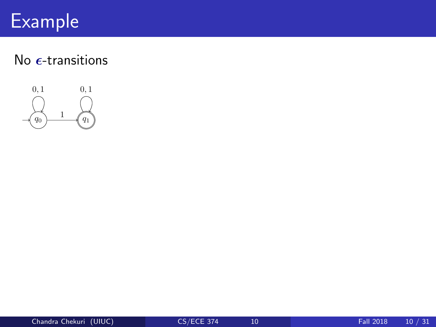# Example

### No  $\epsilon$ -transitions



 ${\overline{\phantom{a}}}$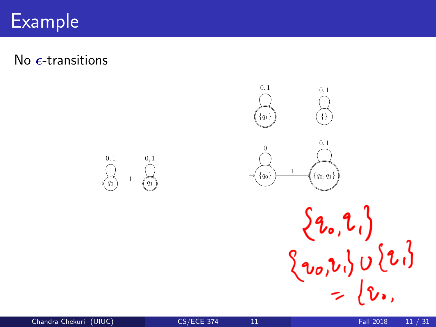#### $\mathsf{Example} \quad \Box$ • <sup>0</sup>  $\overline{\mathcal{L}}_{\rm{max}}$

No  $\epsilon$ -transitions



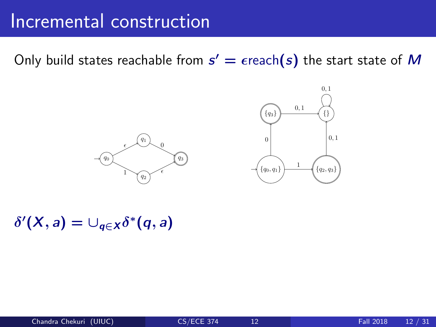#### Incremental construction  $2.02$ . While there are states with missing transitions creating the missing transitions creating any new states creating  $\alpha$ that maybe needed.

Only build states reachable from  $s' = \epsilon$ reach $(s)$  the start state of  $M$ 





 $\delta'(X, a) = \cup_{q \in X} \delta^*(q, a)$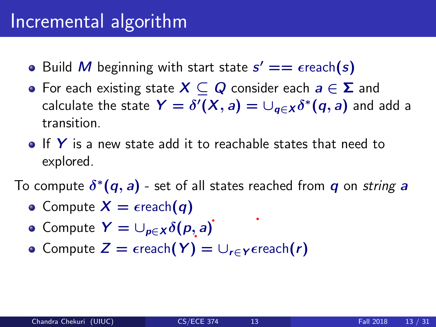### Incremental algorithm

- Build M beginning with start state  $s' == \epsilon$ reach(s)
- For each existing state  $X \subseteq Q$  consider each  $a \in \Sigma$  and calculate the state  $\bm{\mathsf{Y}}=\delta'(\bm{\mathsf{X}},a)=\cup_{\bm{q}\in\bm{\mathsf{X}}}\delta^*(\bm{q},a)$  and add a transition.
- $\bullet$  If Y is a new state add it to reachable states that need to explored.

To compute  $\delta^*(\bm{q},\bm{a})$  - set of all states reached from  $\bm{q}$  on *string*  $\bm{a}$ 

- Compute  $X = \epsilon$ reach $(q)$
- Compute  $Y = \bigcup_{p \in X} \delta(p, a)$
- Compute  $Z = \epsilon$ reach $(Y) = \bigcup_{r \in Y} \epsilon$ reach $(r)$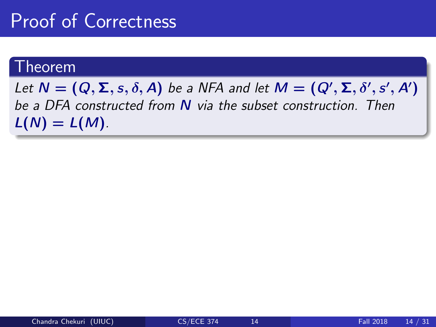### Proof of Correctness

### Theorem

Let  $N = (Q, \Sigma, s, \delta, A)$  be a NFA and let  $M = (Q', \Sigma, \delta', s', A')$ be a DFA constructed from N via the subset construction. Then  $L(N) = L(M)$ .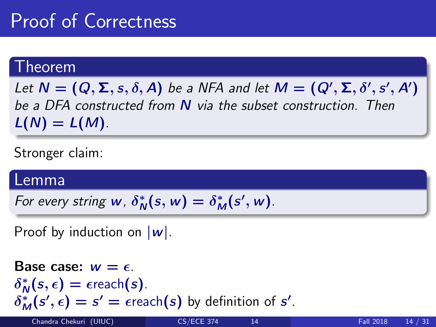# Proof of Correctness

### Theorem

Let  $N = (Q, \Sigma, s, \delta, A)$  be a NFA and let  $M = (Q', \Sigma, \delta', s', A')$ be a DFA constructed from N via the subset construction. Then  $L(N) = L(M)$ .

Stronger claim:

### Lemma

For every string  $w$ ,  $\delta_{\Lambda}^*$  $N^*(s, w) = \delta_M^*(s', w).$ 

Proof by induction on  $|\mathbf{w}|$ .

Base case: 
$$
w = \epsilon
$$
.

\n $\delta_N^*(s, \epsilon) = \epsilon \text{reach}(s)$ .

\n $\delta_M^*(s', \epsilon) = s' = \epsilon \text{reach}(s)$  by definition of  $s'$ .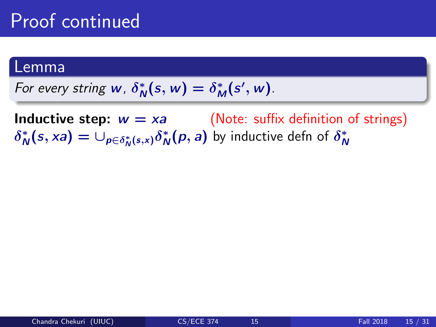### Lemma

For every string 
$$
w
$$
,  $\delta^*_N(s, w) = \delta^*_M(s', w)$ .

**Inductive step:**  $w = xa$  (Note: suffix definition of strings)  $\delta^*_{\Lambda}$  $\psi_N^*(s, xa) = \cup_{p \in \delta_N^*(s, x)} \delta_N^*$  $_{\mathsf{N}}^*(\rho,a)$  by inductive defn of  $\delta^*_\mathsf{N}$ N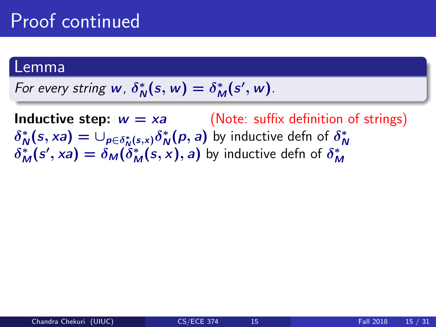### Lemma

For every string  $w$ ,  $\delta^*_{\Lambda}$  $N^*(s, w) = \delta^*_M(s', w).$ 

**Inductive step:**  $w = xa$  (Note: suffix definition of strings)  $\delta^*_{\Lambda}$  $\psi_N^*(s, xa) = \cup_{p \in \delta_N^*(s, x)} \delta_N^*$  $\delta_M^*(s', xa) = \delta_M(\delta_M^*(s, x), a)$  by inductive defn of  $\delta_M^*$  $\frac{*}{N}(p,a)$  by inductive defn of  $\delta^*_\Lambda$ N M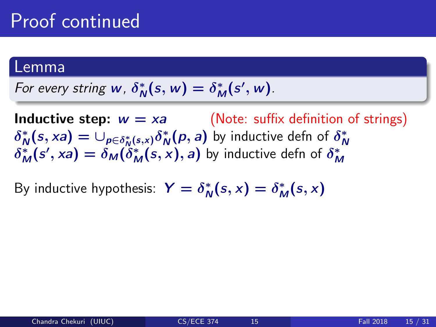### Lemma

For every string 
$$
w
$$
,  $\delta^*_{N}(s, w) = \delta^*_{M}(s', w)$ .

**Inductive step:**  $w = xa$  (Note: suffix definition of strings)  $\delta^*_{\Lambda}$  $\psi_N^*(s, xa) = \cup_{p \in \delta_N^*(s, x)} \delta_N^*$  $\delta_M^*(s', xa) = \delta_M(\delta_M^*(s, x), a)$  by inductive defn of  $\delta_M^*$  $\frac{*}{N}(p,a)$  by inductive defn of  $\delta^*_\Lambda$ N M

By inductive hypothesis:  $Y = \delta_N^*$  $N^*(s, x) = \delta_M^*(s, x)$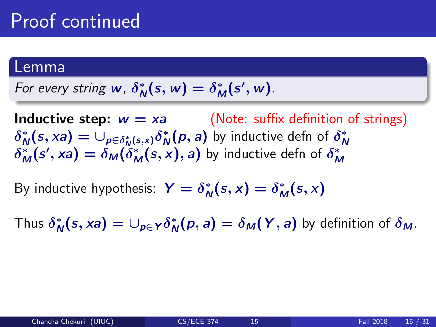### Lemma

For every string 
$$
w
$$
,  $\delta^*_{N}(s, w) = \delta^*_{M}(s', w)$ .

**Inductive step:**  $w = xa$  (Note: suffix definition of strings)  $\delta^*_{\Lambda}$  $\psi_N^*(s, xa) = \cup_{p \in \delta_N^*(s, x)} \delta_N^*$  $\delta_M^*(s', xa) = \delta_M(\delta_M^*(s, x), a)$  by inductive defn of  $\delta_M^*$  $\frac{*}{N}(p,a)$  by inductive defn of  $\delta^*_\Lambda$ N M

By inductive hypothesis:  $Y = \delta_N^*$  $N^*(s, x) = \delta_M^*(s, x)$ 

Thus  $\delta^*_\mathsf{A}$  $\chi_N^*(s, xa) = \cup_{p \in Y} \delta_N^*$  $N^*(p, a) = \delta_M(Y, a)$  by definition of  $\delta_M$ .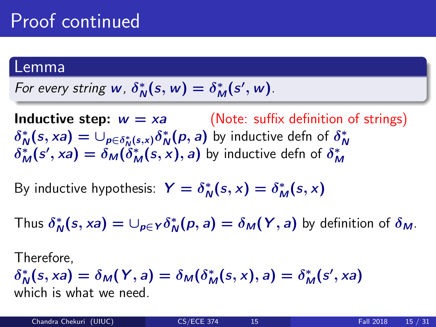### Lemma

For every string 
$$
w
$$
,  $\delta^*_{N}(s, w) = \delta^*_{M}(s', w)$ .

**Inductive step:**  $w = xa$  (Note: suffix definition of strings)  $\delta^*_{\Lambda}$  $\psi_N^*(s, xa) = \cup_{p \in \delta_N^*(s, x)} \delta_N^*$  $\delta_M^*(s', xa) = \delta_M(\delta_M^*(s, x), a)$  by inductive defn of  $\delta_M^*$  $\frac{*}{N}(p,a)$  by inductive defn of  $\delta^*_\Lambda$ N M

By inductive hypothesis:  $Y = \delta_N^*$  $N^*(s, x) = \delta_M^*(s, x)$ 

Thus  $\delta^*_\mathsf{A}$  $\chi_N^*(s, xa) = \cup_{p \in Y} \delta_N^*$  $N^*(p, a) = \delta_M(Y, a)$  by definition of  $\delta_M$ .

Therefore,

 $\delta^*_{\Lambda}$  $N_N^*(s, xa) = \delta_M(Y, a) = \delta_M(\delta_M^*(s, x), a) = \delta_M^*(s', xa)$ which is what we need.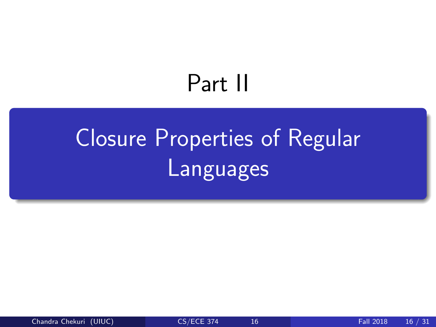# Part II

# <span id="page-27-0"></span>[Closure Properties of Regular](#page-27-0) [Languages](#page-27-0)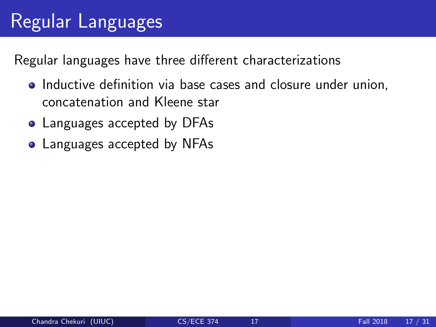# Regular Languages

Regular languages have three different characterizations

- Inductive definition via base cases and closure under union, concatenation and Kleene star
- Languages accepted by DFAs
- Languages accepted by NFAs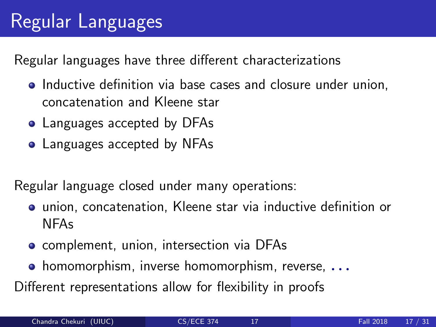# Regular Languages

Regular languages have three different characterizations

- Inductive definition via base cases and closure under union, concatenation and Kleene star
- Languages accepted by DFAs
- Languages accepted by NFAs

Regular language closed under many operations:

- union, concatenation, Kleene star via inductive definition or NFAs
- **•** complement, union, intersection via DFAs
- **•** homomorphism, inverse homomorphism, reverse,  $\ldots$

Different representations allow for flexibility in proofs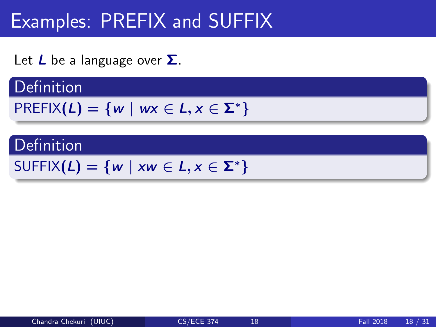# Examples: PREFIX and SUFFIX

Let  $L$  be a language over  $\Sigma$ .

### **Definition**

$$
PREFIX(L)=\{w \mid wx \in L, x \in \Sigma^*\}
$$

### **Definition**

 $SUFFIX(L) = \{w \mid xw \in L, x \in \Sigma^*\}$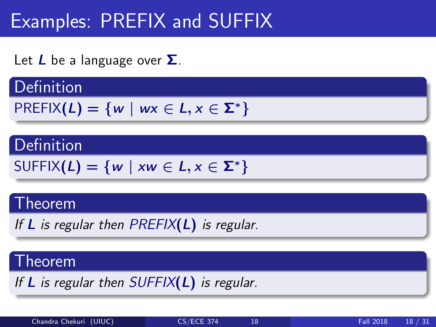# Examples: PREFIX and SUFFIX

Let  $L$  be a language over  $\Sigma$ .

### **Definition**

$$
PREFIX(L)=\{w \mid wx \in L, x \in \Sigma^*\}
$$

### Definition

$$
\text{SUFFIX}(L) = \{w \mid xw \in L, x \in \Sigma^*\}
$$

### Theorem

If  $L$  is regular then PREFIX( $L$ ) is regular.

### Theorem

If  $L$  is regular then  $SUFFIX(L)$  is regular.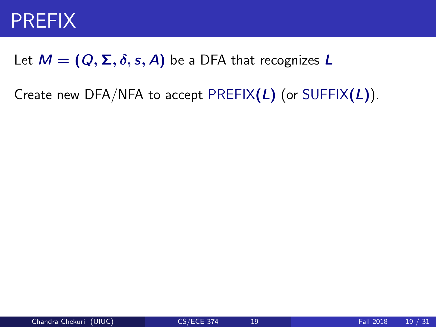### PREFIX

### Let  $M = (Q, \Sigma, \delta, s, A)$  be a DFA that recognizes L

Create new DFA/NFA to accept PREFIX $(L)$  (or SUFFIX $(L)$ ).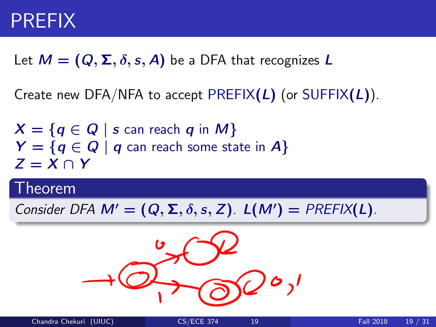### PREFIX

Let  $M = (Q, \Sigma, \delta, s, A)$  be a DFA that recognizes L

Create new DFA/NFA to accept PREFIX $(L)$  (or SUFFIX $(L)$ ).

 $X = \{q \in Q \mid s$  can reach q in M}  $Y = \{q \in Q \mid q \text{ can reach some state in } A\}$  $Z = X \cap Y$ 

### Theorem

Consider DFA  $M' = (Q, \Sigma, \delta, s, Z)$ .  $L(M') = PREFIX(L)$ .

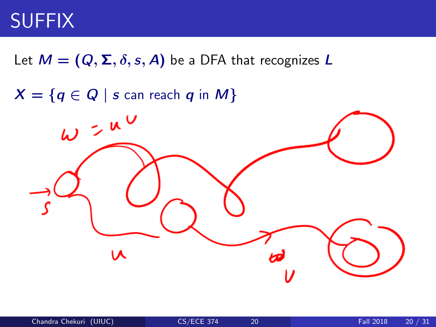# **SUFFIX**

Let  $M = (Q, \Sigma, \delta, s, A)$  be a DFA that recognizes L

 $X = \{q \in Q \mid s$  can reach q in M}

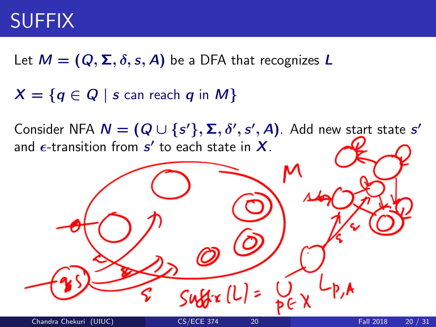# SUFFIX

Let  $M = (Q, \Sigma, \delta, s, A)$  be a DFA that recognizes L

 $X = \{q \in Q \mid s$  can reach q in M}

Consider NFA  $\bm{N} = (\bm{Q} \cup \{s'\}, \bm{\Sigma}, \delta', s', \bm{A})$ . Add new start state  $s'$ and  $\epsilon$ -transition from  $s'$  to each state in  $\boldsymbol{X}.$ 

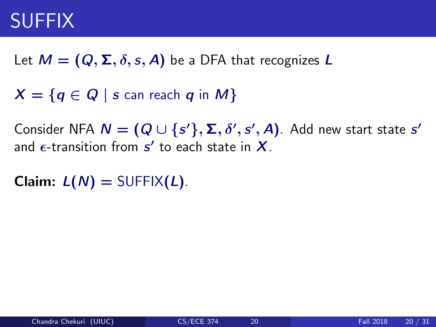## SUFFIX

Let  $M = (Q, \Sigma, \delta, s, A)$  be a DFA that recognizes L

 $X = \{q \in Q \mid s$  can reach q in M}

Consider NFA  $\bm{N} = (\bm{Q} \cup \{s'\}, \bm{\Sigma}, \delta', s', \bm{A})$ . Add new start state  $s'$ and  $\epsilon$ -transition from  $s'$  to each state in  $\boldsymbol{X}.$ 

**Claim:**  $L(N) = \text{SUFFIX}(L)$ .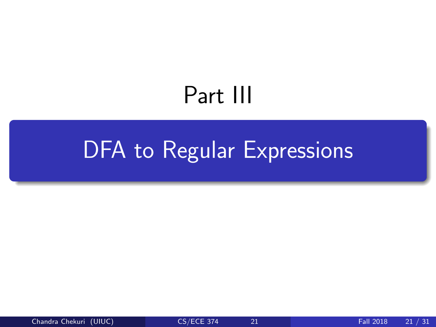# Part III

# <span id="page-37-0"></span>[DFA to Regular Expressions](#page-37-0)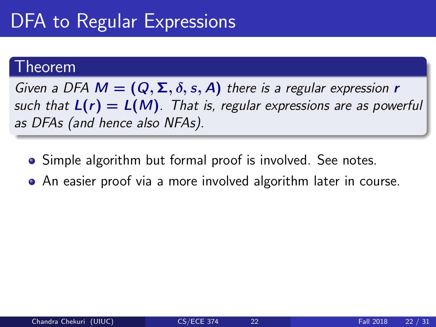# DFA to Regular Expressions

### Theorem

Given a DFA  $M = (Q, \Sigma, \delta, s, A)$  there is a regular expression r such that  $L(r) = L(M)$ . That is, regular expressions are as powerful as DFAs (and hence also NFAs).

- Simple algorithm but formal proof is involved. See notes.
- An easier proof via a more involved algorithm later in course.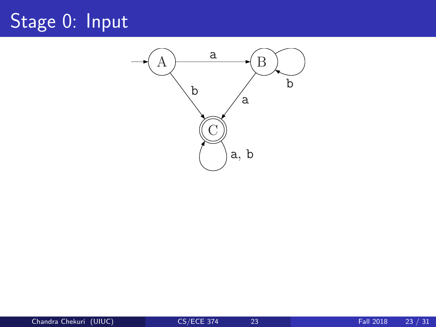# Stage 0: Input

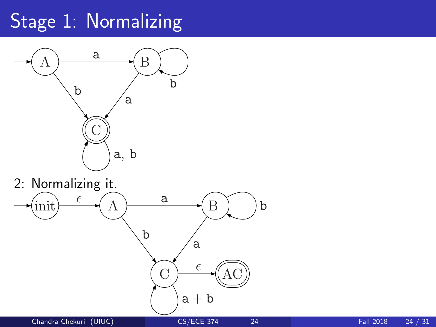# Stage 1: Normalizing



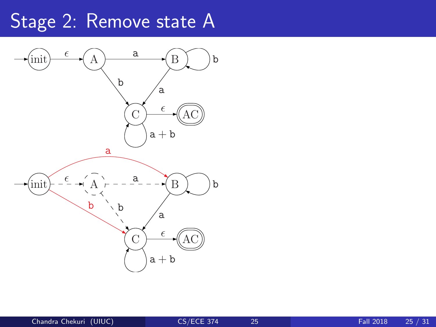# Stage 2: Remove state A

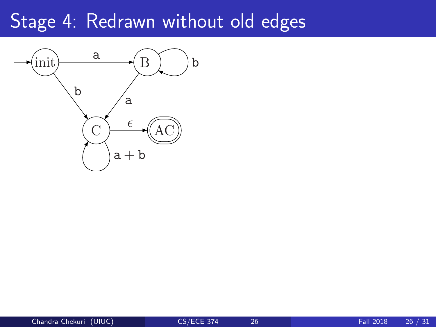### Stage 4: Redrawn without old edges

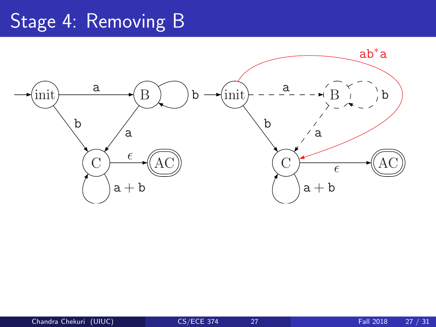# Stage 4: Removing B

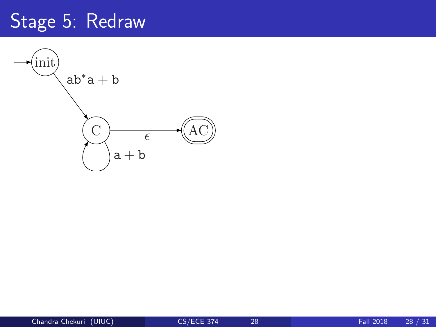# Stage 5: Redraw

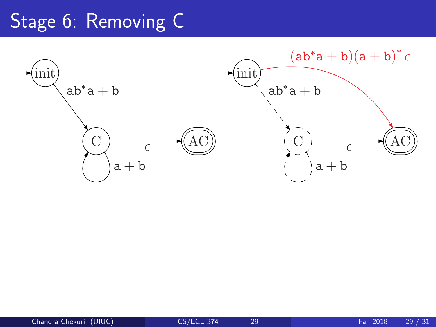# Stage 6: Removing C

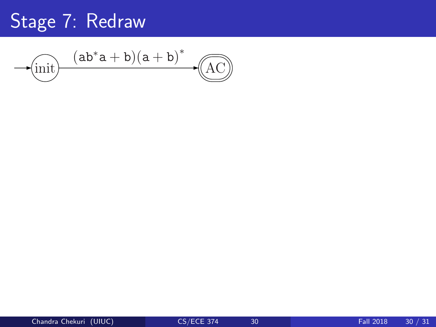# Stage 7: Redraw

init AC (ab∗a + b)(a + b) ∗